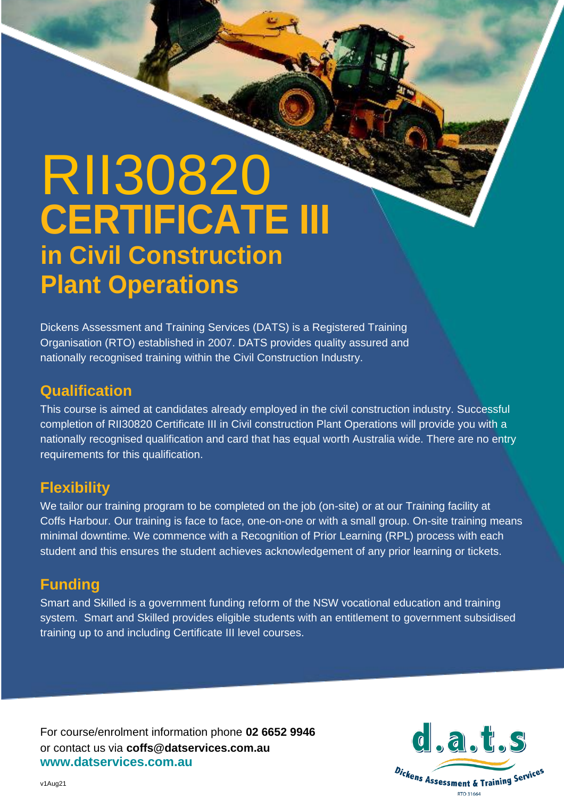# RII30820 **in Civil Construction Plant Operations CERTIFICATE III**

Dickens Assessment and Training Services (DATS) is a Registered Training Organisation (RTO) established in 2007. DATS provides quality assured and nationally recognised training within the Civil Construction Industry.

## **Qualification**

This course is aimed at candidates already employed in the civil construction industry. Successful completion of RII30820 Certificate III in Civil construction Plant Operations will provide you with a nationally recognised qualification and card that has equal worth Australia wide. There are no entry requirements for this qualification.

## **Flexibility**

We tailor our training program to be completed on the job (on-site) or at our Training facility at Coffs Harbour. Our training is face to face, one-on-one or with a small group. On-site training means minimal downtime. We commence with a Recognition of Prior Learning (RPL) process with each student and this ensures the student achieves acknowledgement of any prior learning or tickets.

# **Funding**

Smart and Skilled is a government funding reform of the NSW vocational education and training system. Smart and Skilled provides eligible students with an entitlement to government subsidised training up to and including Certificate III level courses.

For course/enrolment information phone **02 6652 9946** or contact us via **coffs@datservices.com.au www.datservices.com.au**